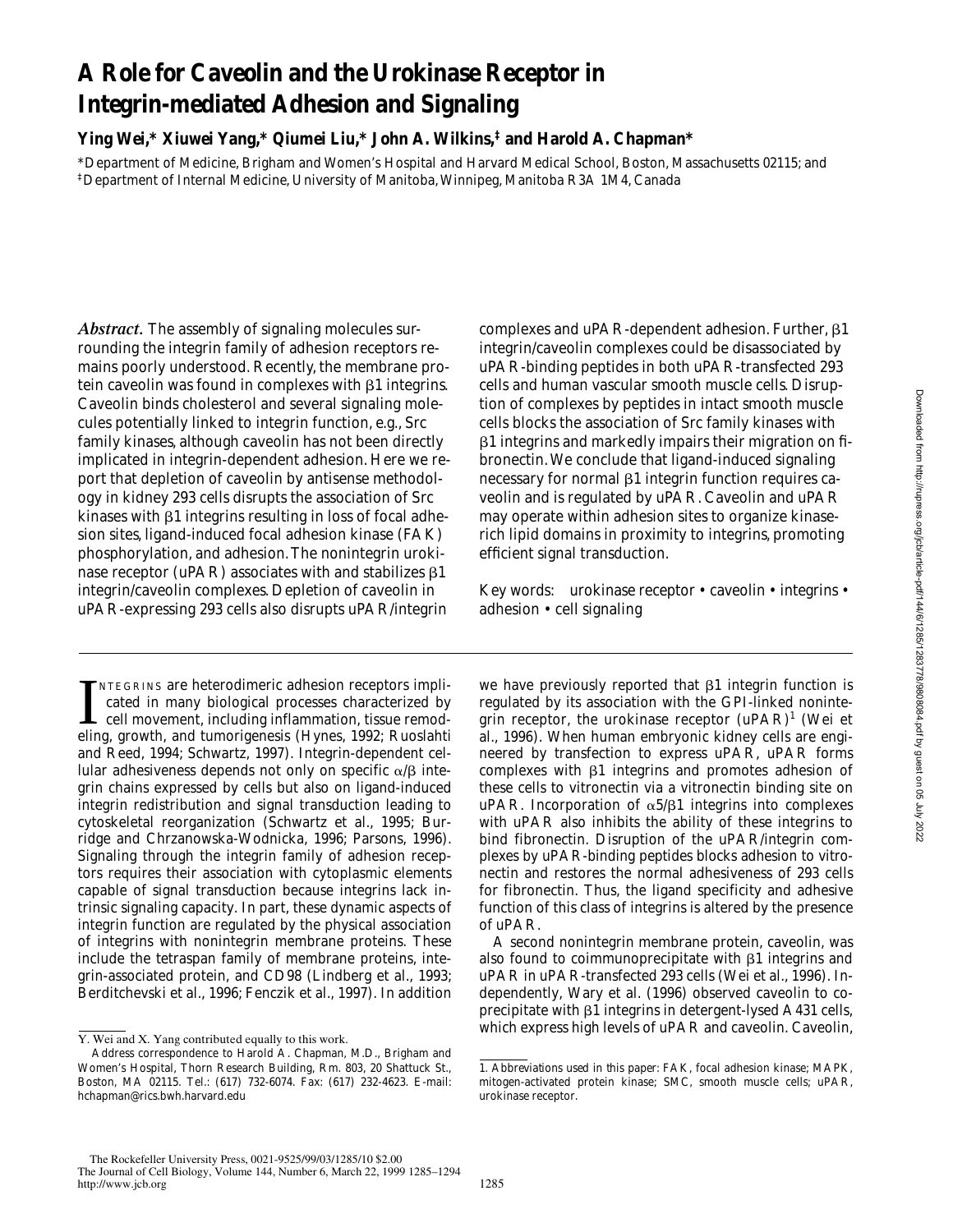# **A Role for Caveolin and the Urokinase Receptor in Integrin-mediated Adhesion and Signaling**

**Ying Wei,\* Xiuwei Yang,\* Qiumei Liu,\* John A. Wilkins,‡ and Harold A. Chapman\***

\*Department of Medicine, Brigham and Women's Hospital and Harvard Medical School, Boston, Massachusetts 02115; and ‡Department of Internal Medicine, University of Manitoba, Winnipeg, Manitoba R3A 1M4, Canada

*Abstract.* The assembly of signaling molecules surrounding the integrin family of adhesion receptors remains poorly understood. Recently, the membrane protein caveolin was found in complexes with  $\beta$ 1 integrins. Caveolin binds cholesterol and several signaling molecules potentially linked to integrin function, e.g., Src family kinases, although caveolin has not been directly implicated in integrin-dependent adhesion. Here we report that depletion of caveolin by antisense methodology in kidney 293 cells disrupts the association of Src kinases with  $\beta$ 1 integrins resulting in loss of focal adhesion sites, ligand-induced focal adhesion kinase (FAK) phosphorylation, and adhesion. The nonintegrin urokinase receptor (uPAR) associates with and stabilizes  $\beta$ 1 integrin/caveolin complexes. Depletion of caveolin in uPAR-expressing 293 cells also disrupts uPAR/integrin

INTEGRINS are heterodimeric adhesion receptors implicated in many biological processes characterized by cell movement, including inflammation, tissue remodeling, growth, and tumorigenesis (Hynes, 1992; Ruoslahti NTEGRINS are heterodimeric adhesion receptors implicated in many biological processes characterized by cell movement, including inflammation, tissue remodand Reed, 1994; Schwartz, 1997). Integrin-dependent cellular adhesiveness depends not only on specific  $\alpha/\beta$  integrin chains expressed by cells but also on ligand-induced integrin redistribution and signal transduction leading to cytoskeletal reorganization (Schwartz et al., 1995; Burridge and Chrzanowska-Wodnicka, 1996; Parsons, 1996). Signaling through the integrin family of adhesion receptors requires their association with cytoplasmic elements capable of signal transduction because integrins lack intrinsic signaling capacity. In part, these dynamic aspects of integrin function are regulated by the physical association of integrins with nonintegrin membrane proteins. These include the tetraspan family of membrane proteins, integrin-associated protein, and CD98 (Lindberg et al., 1993; Berditchevski et al., 1996; Fenczik et al., 1997). In addition

complexes and uPAR-dependent adhesion. Further,  $\beta$ 1 integrin/caveolin complexes could be disassociated by uPAR-binding peptides in both uPAR-transfected 293 cells and human vascular smooth muscle cells. Disruption of complexes by peptides in intact smooth muscle cells blocks the association of Src family kinases with  $\beta$ 1 integrins and markedly impairs their migration on fibronectin. We conclude that ligand-induced signaling necessary for normal  $\beta1$  integrin function requires caveolin and is regulated by uPAR. Caveolin and uPAR may operate within adhesion sites to organize kinaserich lipid domains in proximity to integrins, promoting efficient signal transduction.

Key words: urokinase receptor • caveolin • integrins • adhesion • cell signaling

we have previously reported that  $\beta$ 1 integrin function is regulated by its association with the GPI-linked nonintegrin receptor, the urokinase receptor (uPAR) $^1$  (Wei et al., 1996). When human embryonic kidney cells are engineered by transfection to express uPAR, uPAR forms complexes with  $\beta$ 1 integrins and promotes adhesion of these cells to vitronectin via a vitronectin binding site on uPAR. Incorporation of  $\alpha 5/\beta 1$  integrins into complexes with uPAR also inhibits the ability of these integrins to bind fibronectin. Disruption of the uPAR/integrin complexes by uPAR-binding peptides blocks adhesion to vitronectin and restores the normal adhesiveness of 293 cells for fibronectin. Thus, the ligand specificity and adhesive function of this class of integrins is altered by the presence of uPAR.

A second nonintegrin membrane protein, caveolin, was also found to coimmunoprecipitate with  $\beta$ 1 integrins and uPAR in uPAR-transfected 293 cells (Wei et al., 1996). Independently, Wary et al. (1996) observed caveolin to coprecipitate with  $\beta$ 1 integrins in detergent-lysed A431 cells, Y. Wei and X. Yang contributed equally to this work. **We are contributed and X.** Yang contributed equally to this work.

Address correspondence to Harold A. Chapman, M.D., Brigham and Women's Hospital, Thorn Research Building, Rm. 803, 20 Shattuck St., Boston, MA 02115. Tel.: (617) 732-6074. Fax: (617) 232-4623. E-mail: hchapman@rics.bwh.harvard.edu

<sup>1.</sup> *Abbreviations used in this paper:* FAK, focal adhesion kinase; MAPK, mitogen-activated protein kinase; SMC, smooth muscle cells; uPAR, urokinase receptor.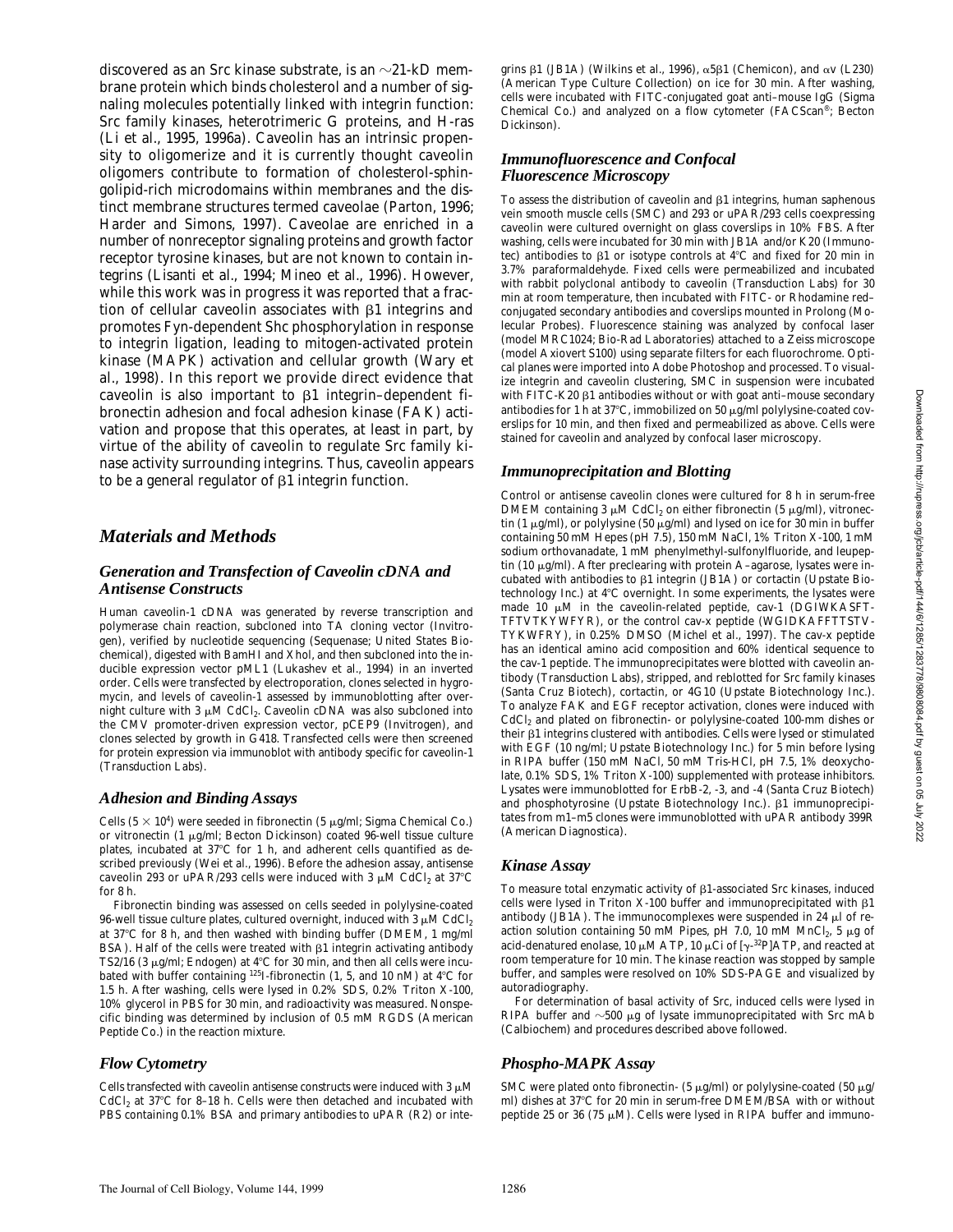discovered as an Src kinase substrate, is an  $\sim$ 21-kD membrane protein which binds cholesterol and a number of signaling molecules potentially linked with integrin function: Src family kinases, heterotrimeric G proteins, and H-ras (Li et al., 1995, 1996a). Caveolin has an intrinsic propensity to oligomerize and it is currently thought caveolin oligomers contribute to formation of cholesterol-sphingolipid-rich microdomains within membranes and the distinct membrane structures termed caveolae (Parton, 1996; Harder and Simons, 1997). Caveolae are enriched in a number of nonreceptor signaling proteins and growth factor receptor tyrosine kinases, but are not known to contain integrins (Lisanti et al., 1994; Mineo et al., 1996). However, while this work was in progress it was reported that a fraction of cellular caveolin associates with  $\beta$ 1 integrins and promotes Fyn-dependent Shc phosphorylation in response to integrin ligation, leading to mitogen-activated protein kinase (MAPK) activation and cellular growth (Wary et al., 1998). In this report we provide direct evidence that caveolin is also important to  $\beta$ 1 integrin-dependent fibronectin adhesion and focal adhesion kinase (FAK) activation and propose that this operates, at least in part, by virtue of the ability of caveolin to regulate Src family kinase activity surrounding integrins. Thus, caveolin appears to be a general regulator of  $\beta$ 1 integrin function.

# *Materials and Methods*

#### *Generation and Transfection of Caveolin cDNA and Antisense Constructs*

Human caveolin-1 cDNA was generated by reverse transcription and polymerase chain reaction, subcloned into TA cloning vector (Invitrogen), verified by nucleotide sequencing (Sequenase; United States Biochemical), digested with BamHI and Xhol, and then subcloned into the inducible expression vector pML1 (Lukashev et al., 1994) in an inverted order. Cells were transfected by electroporation, clones selected in hygromycin, and levels of caveolin-1 assessed by immunoblotting after overnight culture with 3  $\mu$ M CdCl<sub>2</sub>. Caveolin cDNA was also subcloned into the CMV promoter-driven expression vector, pCEP9 (Invitrogen), and clones selected by growth in G418. Transfected cells were then screened for protein expression via immunoblot with antibody specific for caveolin-1 (Transduction Labs).

#### *Adhesion and Binding Assays*

Cells  $(5 \times 10^4)$  were seeded in fibronectin  $(5 \mu g/ml)$ ; Sigma Chemical Co.) or vitronectin (1  $\mu$ g/ml; Becton Dickinson) coated 96-well tissue culture plates, incubated at  $37^{\circ}$ C for 1 h, and adherent cells quantified as described previously (Wei et al., 1996). Before the adhesion assay, antisense caveolin 293 or uPAR/293 cells were induced with 3  $\mu$ M CdCl<sub>2</sub> at 37°C for 8 h.

Fibronectin binding was assessed on cells seeded in polylysine-coated 96-well tissue culture plates, cultured overnight, induced with 3  $\mu$ M CdCl<sub>2</sub> at  $37^{\circ}$ C for 8 h, and then washed with binding buffer (DMEM, 1 mg/ml BSA). Half of the cells were treated with  $\beta1$  integrin activating antibody TS2/16 (3  $\mu$ g/ml; Endogen) at 4°C for 30 min, and then all cells were incubated with buffer containing  $125I$ -fibronectin (1, 5, and 10 nM) at  $4^{\circ}$ C for 1.5 h. After washing, cells were lysed in 0.2% SDS, 0.2% Triton X-100, 10% glycerol in PBS for 30 min, and radioactivity was measured. Nonspecific binding was determined by inclusion of 0.5 mM RGDS (American Peptide Co.) in the reaction mixture.

# *Flow Cytometry*

Cells transfected with caveolin antisense constructs were induced with 3  $\upmu\mathrm{M}$ CdCl<sub>2</sub> at 37°C for 8-18 h. Cells were then detached and incubated with PBS containing 0.1% BSA and primary antibodies to uPAR (R2) or integrins  $\beta$ 1 (JB1A) (Wilkins et al., 1996),  $\alpha$ 5 $\beta$ 1 (Chemicon), and  $\alpha$ v (L230) (American Type Culture Collection) on ice for 30 min. After washing, cells were incubated with FITC-conjugated goat anti–mouse IgG (Sigma Chemical Co.) and analyzed on a flow cytometer (FACScan®; Becton Dickinson).

# *Immunofluorescence and Confocal Fluorescence Microscopy*

To assess the distribution of caveolin and  $\beta$ 1 integrins, human saphenous vein smooth muscle cells (SMC) and 293 or uPAR/293 cells coexpressing caveolin were cultured overnight on glass coverslips in 10% FBS. After washing, cells were incubated for 30 min with JB1A and/or K20 (Immunotec) antibodies to  $\beta$ 1 or isotype controls at 4°C and fixed for 20 min in 3.7% paraformaldehyde. Fixed cells were permeabilized and incubated with rabbit polyclonal antibody to caveolin (Transduction Labs) for 30 min at room temperature, then incubated with FITC- or Rhodamine red– conjugated secondary antibodies and coverslips mounted in Prolong (Molecular Probes). Fluorescence staining was analyzed by confocal laser (model MRC1024; Bio-Rad Laboratories) attached to a Zeiss microscope (model Axiovert S100) using separate filters for each fluorochrome. Optical planes were imported into Adobe Photoshop and processed. To visualize integrin and caveolin clustering, SMC in suspension were incubated with FITC-K20  $\beta$ 1 antibodies without or with goat anti-mouse secondary antibodies for 1 h at 37°C, immobilized on 50  $\mu$ g/ml polylysine-coated coverslips for 10 min, and then fixed and permeabilized as above. Cells were stained for caveolin and analyzed by confocal laser microscopy.

# *Immunoprecipitation and Blotting*

Control or antisense caveolin clones were cultured for 8 h in serum-free DMEM containing  $3 \mu$ M CdCl<sub>2</sub> on either fibronectin ( $5 \mu$ g/ml), vitronectin (1  $\mu$ g/ml), or polylysine (50  $\mu$ g/ml) and lysed on ice for 30 min in buffer containing 50 mM Hepes (pH 7.5), 150 mM NaCl, 1% Triton X-100, 1 mM sodium orthovanadate, 1 mM phenylmethyl-sulfonylfluoride, and leupeptin (10  $\mu$ g/ml). After preclearing with protein A-agarose, lysates were incubated with antibodies to  $\beta$ 1 integrin (JB1A) or cortactin (Upstate Biotechnology Inc.) at  $4^{\circ}$ C overnight. In some experiments, the lysates were made  $10 \mu$ M in the caveolin-related peptide, cav-1 (DGIWKASFT-TFTVTKYWFYR), or the control cav-x peptide (WGIDKAFFTTSTV-TYKWFRY), in 0.25% DMSO (Michel et al., 1997). The cav-x peptide has an identical amino acid composition and 60% identical sequence to the cav-1 peptide. The immunoprecipitates were blotted with caveolin antibody (Transduction Labs), stripped, and reblotted for Src family kinases (Santa Cruz Biotech), cortactin, or 4G10 (Upstate Biotechnology Inc.). To analyze FAK and EGF receptor activation, clones were induced with CdCl<sub>2</sub> and plated on fibronectin- or polylysine-coated 100-mm dishes or their  $\beta$ 1 integrins clustered with antibodies. Cells were lysed or stimulated with EGF (10 ng/ml; Upstate Biotechnology Inc.) for 5 min before lysing in RIPA buffer (150 mM NaCl, 50 mM Tris-HCl, pH 7.5, 1% deoxycholate, 0.1% SDS, 1% Triton X-100) supplemented with protease inhibitors. Lysates were immunoblotted for ErbB-2, -3, and -4 (Santa Cruz Biotech) and phosphotyrosine (Upstate Biotechnology Inc.).  $\beta$ 1 immunoprecipitates from m1–m5 clones were immunoblotted with uPAR antibody 399R (American Diagnostica).

#### *Kinase Assay*

To measure total enzymatic activity of  $\beta$ 1-associated Src kinases, induced cells were lysed in Triton X-100 buffer and immunoprecipitated with  $\beta$ 1 antibody (JB1A). The immunocomplexes were suspended in 24  $\mu$ l of reaction solution containing 50 mM Pipes, pH 7.0, 10 mM MnCl<sub>2</sub>, 5  $\mu$ g of acid-denatured enolase, 10  $\mu$ M ATP, 10  $\mu$ Ci of [ $\gamma$ -<sup>32</sup>P]ATP, and reacted at room temperature for 10 min. The kinase reaction was stopped by sample buffer, and samples were resolved on 10% SDS-PAGE and visualized by autoradiography.

For determination of basal activity of Src, induced cells were lysed in RIPA buffer and  $\sim$ 500 µg of lysate immunoprecipitated with Src mAb (Calbiochem) and procedures described above followed.

# *Phospho-MAPK Assay*

SMC were plated onto fibronectin- (5  $\mu$ g/ml) or polylysine-coated (50  $\mu$ g/ ml) dishes at 37°C for 20 min in serum-free DMEM/BSA with or without peptide 25 or 36 (75  $\mu$ M). Cells were lysed in RIPA buffer and immuno-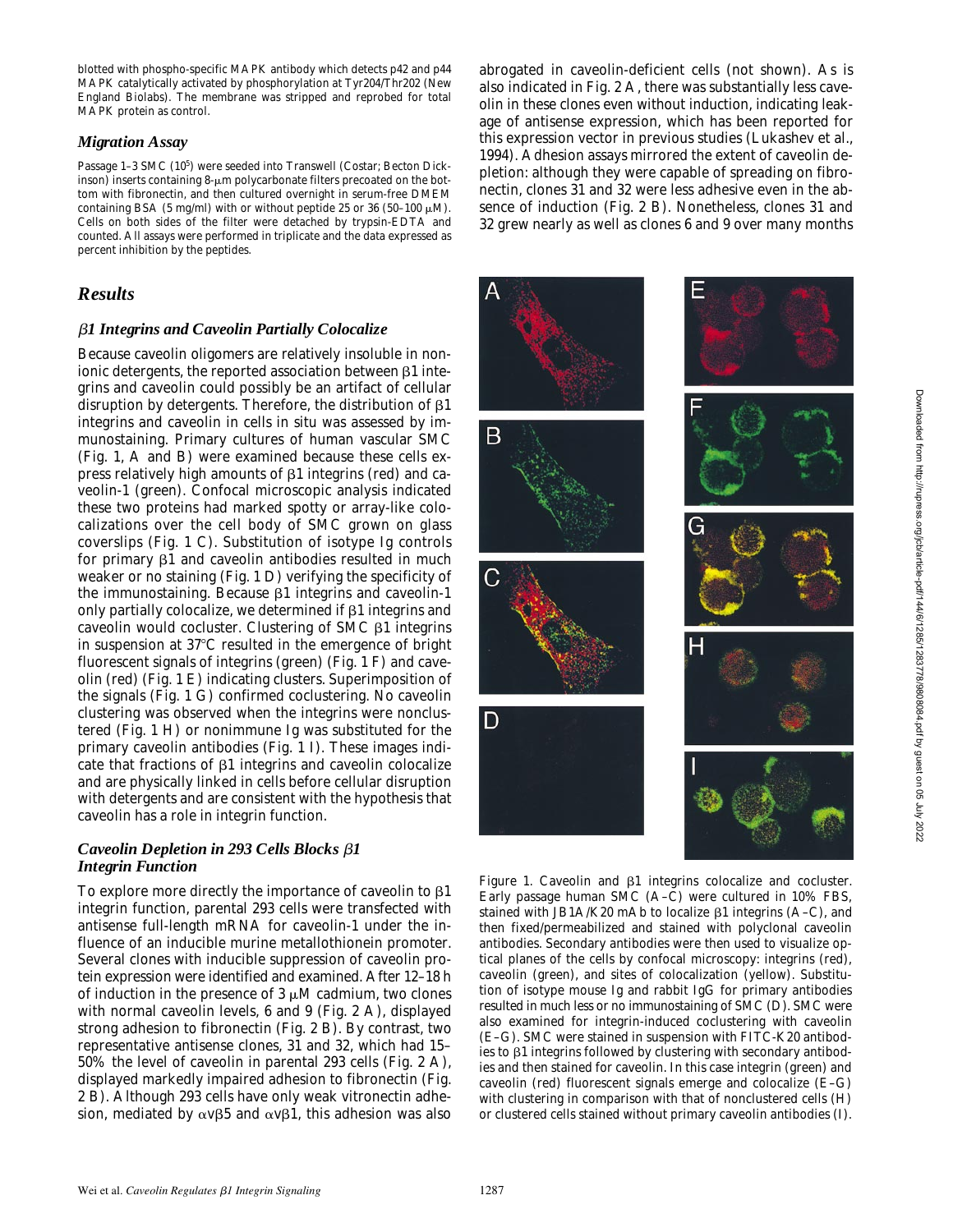blotted with phospho-specific MAPK antibody which detects p42 and p44 MAPK catalytically activated by phosphorylation at Tyr204/Thr202 (New England Biolabs). The membrane was stripped and reprobed for total MAPK protein as control.

#### *Migration Assay*

Passage 1-3 SMC (10<sup>5</sup>) were seeded into Transwell (Costar; Becton Dickinson) inserts containing  $8-\mu m$  polycarbonate filters precoated on the bottom with fibronectin, and then cultured overnight in serum-free DMEM containing BSA (5 mg/ml) with or without peptide 25 or 36 (50-100  $\mu$ M). Cells on both sides of the filter were detached by trypsin-EDTA and counted. All assays were performed in triplicate and the data expressed as percent inhibition by the peptides.

# *Results*

#### b*1 Integrins and Caveolin Partially Colocalize*

Because caveolin oligomers are relatively insoluble in nonionic detergents, the reported association between  $\beta 1$  integrins and caveolin could possibly be an artifact of cellular disruption by detergents. Therefore, the distribution of  $\beta$ 1 integrins and caveolin in cells in situ was assessed by immunostaining. Primary cultures of human vascular SMC (Fig. 1, A and B) were examined because these cells express relatively high amounts of  $\beta$ 1 integrins (red) and caveolin-1 (green). Confocal microscopic analysis indicated these two proteins had marked spotty or array-like colocalizations over the cell body of SMC grown on glass coverslips (Fig. 1 C). Substitution of isotype Ig controls for primary  $\beta$ 1 and caveolin antibodies resulted in much weaker or no staining (Fig. 1 D) verifying the specificity of the immunostaining. Because  $\beta$ 1 integrins and caveolin-1 only partially colocalize, we determined if  $\beta$ 1 integrins and caveolin would cocluster. Clustering of SMC b1 integrins in suspension at  $37^{\circ}$ C resulted in the emergence of bright fluorescent signals of integrins (green) (Fig. 1 F) and caveolin (red) (Fig. 1 E) indicating clusters. Superimposition of the signals (Fig. 1 G) confirmed coclustering. No caveolin clustering was observed when the integrins were nonclustered (Fig. 1 H) or nonimmune Ig was substituted for the primary caveolin antibodies (Fig. 1 I). These images indicate that fractions of  $\beta$ 1 integrins and caveolin colocalize and are physically linked in cells before cellular disruption with detergents and are consistent with the hypothesis that caveolin has a role in integrin function.

#### *Caveolin Depletion in 293 Cells Blocks* b*1 Integrin Function*

To explore more directly the importance of caveolin to  $\beta$ 1 integrin function, parental 293 cells were transfected with antisense full-length mRNA for caveolin-1 under the influence of an inducible murine metallothionein promoter. Several clones with inducible suppression of caveolin protein expression were identified and examined. After 12–18 h of induction in the presence of  $3 \mu$ M cadmium, two clones with normal caveolin levels, 6 and 9 (Fig. 2 A), displayed strong adhesion to fibronectin (Fig. 2 B). By contrast, two representative antisense clones, 31 and 32, which had 15– 50% the level of caveolin in parental 293 cells (Fig. 2 A), displayed markedly impaired adhesion to fibronectin (Fig. 2 B). Although 293 cells have only weak vitronectin adhesion, mediated by  $\alpha v\beta5$  and  $\alpha v\beta1$ , this adhesion was also abrogated in caveolin-deficient cells (not shown). As is also indicated in Fig. 2 A, there was substantially less caveolin in these clones even without induction, indicating leakage of antisense expression, which has been reported for this expression vector in previous studies (Lukashev et al., 1994). Adhesion assays mirrored the extent of caveolin depletion: although they were capable of spreading on fibronectin, clones 31 and 32 were less adhesive even in the absence of induction (Fig. 2 B). Nonetheless, clones 31 and 32 grew nearly as well as clones 6 and 9 over many months





*Figure 1.* Caveolin and  $\beta$ 1 integrins colocalize and cocluster. Early passage human SMC (A–C) were cultured in 10% FBS, stained with JB1A/K20 mAb to localize  $\beta$ 1 integrins (A–C), and then fixed/permeabilized and stained with polyclonal caveolin antibodies. Secondary antibodies were then used to visualize optical planes of the cells by confocal microscopy: integrins (red), caveolin (green), and sites of colocalization (yellow). Substitution of isotype mouse Ig and rabbit IgG for primary antibodies resulted in much less or no immunostaining of SMC (D). SMC were also examined for integrin-induced coclustering with caveolin (E–G). SMC were stained in suspension with FITC-K20 antibodies to  $\beta$ 1 integrins followed by clustering with secondary antibodies and then stained for caveolin. In this case integrin (green) and caveolin (red) fluorescent signals emerge and colocalize (E–G) with clustering in comparison with that of nonclustered cells (H) or clustered cells stained without primary caveolin antibodies (I).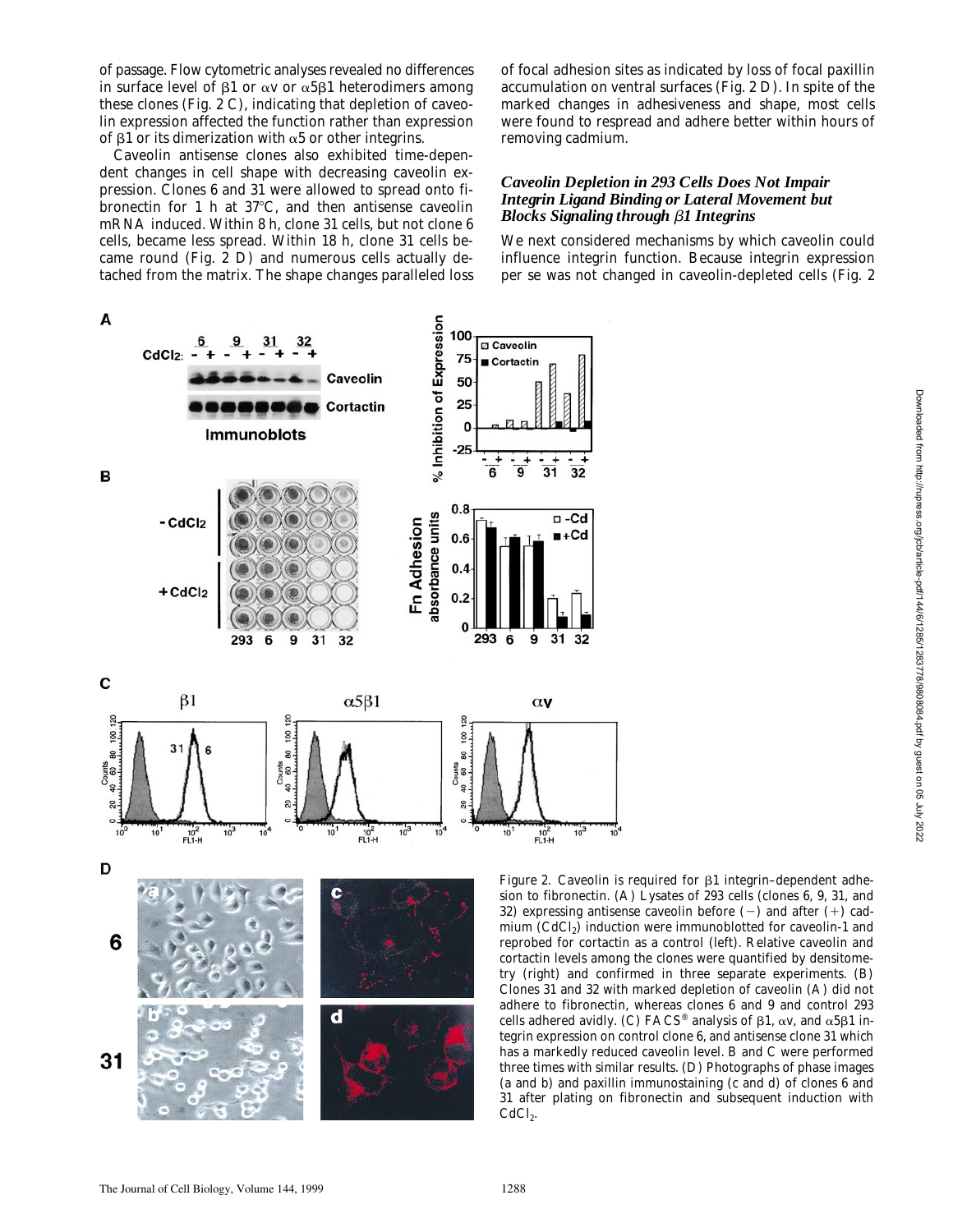of passage. Flow cytometric analyses revealed no differences in surface level of  $\beta$ 1 or  $\alpha$ v or  $\alpha$ 5 $\beta$ 1 heterodimers among these clones (Fig. 2 C), indicating that depletion of caveolin expression affected the function rather than expression of  $\beta$ 1 or its dimerization with  $\alpha$ 5 or other integrins.

Caveolin antisense clones also exhibited time-dependent changes in cell shape with decreasing caveolin expression. Clones 6 and 31 were allowed to spread onto fibronectin for 1 h at  $37^{\circ}$ C, and then antisense caveolin mRNA induced. Within 8 h, clone 31 cells, but not clone 6 cells, became less spread. Within 18 h, clone 31 cells became round (Fig. 2 D) and numerous cells actually detached from the matrix. The shape changes paralleled loss

of focal adhesion sites as indicated by loss of focal paxillin accumulation on ventral surfaces (Fig. 2 D). In spite of the marked changes in adhesiveness and shape, most cells were found to respread and adhere better within hours of removing cadmium.

### *Caveolin Depletion in 293 Cells Does Not Impair Integrin Ligand Binding or Lateral Movement but Blocks Signaling through* b*1 Integrins*

We next considered mechanisms by which caveolin could influence integrin function. Because integrin expression per se was not changed in caveolin-depleted cells (Fig. 2



*Figure 2.* Caveolin is required for  $\beta$ 1 integrin-dependent adhesion to fibronectin. (A) Lysates of 293 cells (clones 6, 9, 31, and 32) expressing antisense caveolin before  $(-)$  and after  $(+)$  cadmium (CdCl<sub>2</sub>) induction were immunoblotted for caveolin-1 and reprobed for cortactin as a control (left). Relative caveolin and cortactin levels among the clones were quantified by densitometry (right) and confirmed in three separate experiments. (B) Clones 31 and 32 with marked depletion of caveolin (A) did not adhere to fibronectin, whereas clones 6 and 9 and control 293 cells adhered avidly. (C) FACS<sup>®</sup> analysis of  $\beta$ 1,  $\alpha$ v, and  $\alpha$ 5 $\beta$ 1 integrin expression on control clone 6, and antisense clone 31 which has a markedly reduced caveolin level. B and C were performed three times with similar results. (D) Photographs of phase images (a and b) and paxillin immunostaining (c and d) of clones 6 and 31 after plating on fibronectin and subsequent induction with

 $10$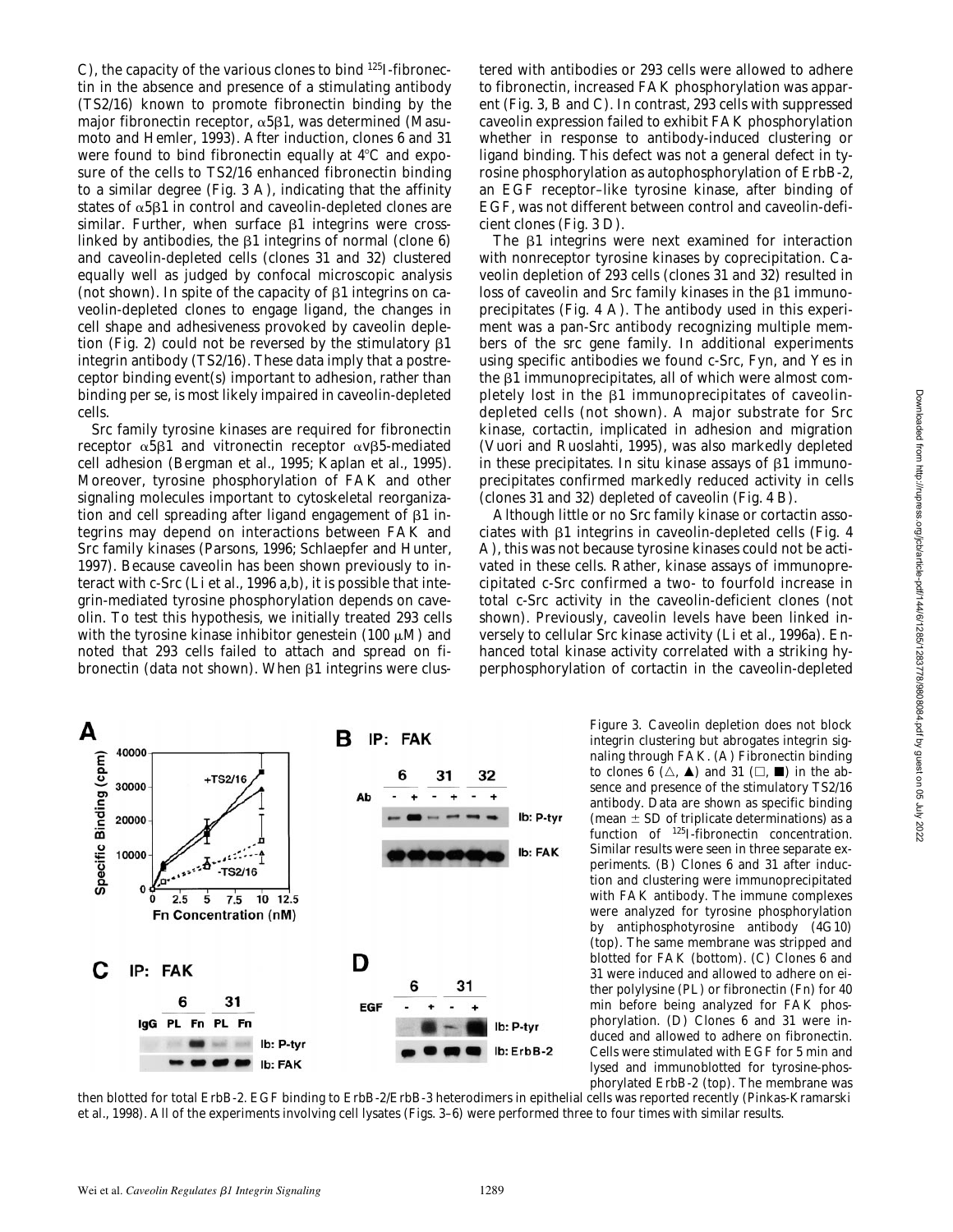C), the capacity of the various clones to bind 125I-fibronectin in the absence and presence of a stimulating antibody (TS2/16) known to promote fibronectin binding by the major fibronectin receptor,  $\alpha$ 5 $\beta$ 1, was determined (Masumoto and Hemler, 1993). After induction, clones 6 and 31 were found to bind fibronectin equally at  $4^{\circ}$ C and exposure of the cells to TS2/16 enhanced fibronectin binding to a similar degree (Fig. 3 A), indicating that the affinity states of  $\alpha$ 5 $\beta$ 1 in control and caveolin-depleted clones are similar. Further, when surface  $\beta$ 1 integrins were crosslinked by antibodies, the  $\beta$ 1 integrins of normal (clone 6) and caveolin-depleted cells (clones 31 and 32) clustered equally well as judged by confocal microscopic analysis (not shown). In spite of the capacity of  $\beta$ 1 integrins on caveolin-depleted clones to engage ligand, the changes in cell shape and adhesiveness provoked by caveolin depletion (Fig. 2) could not be reversed by the stimulatory  $\beta 1$ integrin antibody (TS2/16). These data imply that a postreceptor binding event(s) important to adhesion, rather than binding per se, is most likely impaired in caveolin-depleted cells.

Src family tyrosine kinases are required for fibronectin receptor  $\alpha$ 5 $\beta$ 1 and vitronectin receptor  $\alpha$ v $\beta$ 5-mediated cell adhesion (Bergman et al., 1995; Kaplan et al., 1995). Moreover, tyrosine phosphorylation of FAK and other signaling molecules important to cytoskeletal reorganization and cell spreading after ligand engagement of  $\beta$ 1 integrins may depend on interactions between FAK and Src family kinases (Parsons, 1996; Schlaepfer and Hunter, 1997). Because caveolin has been shown previously to interact with c-Src (Li et al., 1996 a,b), it is possible that integrin-mediated tyrosine phosphorylation depends on caveolin. To test this hypothesis, we initially treated 293 cells with the tyrosine kinase inhibitor genestein (100  $\mu$ M) and noted that 293 cells failed to attach and spread on fibronectin (data not shown). When  $\beta$ 1 integrins were clus-

tered with antibodies or 293 cells were allowed to adhere to fibronectin, increased FAK phosphorylation was apparent (Fig. 3, B and C). In contrast, 293 cells with suppressed caveolin expression failed to exhibit FAK phosphorylation whether in response to antibody-induced clustering or ligand binding. This defect was not a general defect in tyrosine phosphorylation as autophosphorylation of ErbB-2, an EGF receptor–like tyrosine kinase, after binding of EGF, was not different between control and caveolin-deficient clones (Fig. 3 D).

The  $\beta$ 1 integrins were next examined for interaction with nonreceptor tyrosine kinases by coprecipitation. Caveolin depletion of 293 cells (clones 31 and 32) resulted in loss of caveolin and Src family kinases in the  $\beta1$  immunoprecipitates (Fig. 4 A). The antibody used in this experiment was a pan-Src antibody recognizing multiple members of the *src* gene family. In additional experiments using specific antibodies we found c-Src, Fyn, and Yes in the  $\beta1$  immunoprecipitates, all of which were almost completely lost in the  $\beta1$  immunoprecipitates of caveolindepleted cells (not shown). A major substrate for Src kinase, cortactin, implicated in adhesion and migration (Vuori and Ruoslahti, 1995), was also markedly depleted in these precipitates. In situ kinase assays of  $\beta$ 1 immunoprecipitates confirmed markedly reduced activity in cells (clones 31 and 32) depleted of caveolin (Fig. 4 B).

Although little or no Src family kinase or cortactin associates with b1 integrins in caveolin-depleted cells (Fig. 4 A), this was not because tyrosine kinases could not be activated in these cells. Rather, kinase assays of immunoprecipitated c-Src confirmed a two- to fourfold increase in total c-Src activity in the caveolin-deficient clones (not shown). Previously, caveolin levels have been linked inversely to cellular Src kinase activity (Li et al., 1996a). Enhanced total kinase activity correlated with a striking hyperphosphorylation of cortactin in the caveolin-depleted



*Figure 3.* Caveolin depletion does not block integrin clustering but abrogates integrin signaling through FAK. (A) Fibronectin binding to clones 6  $(\triangle, \triangle)$  and 31  $(\square, \blacksquare)$  in the absence and presence of the stimulatory TS2/16 antibody. Data are shown as specific binding (mean  $\pm$  SD of triplicate determinations) as a function of <sup>125</sup>I-fibronectin concentration. Similar results were seen in three separate experiments. (B) Clones 6 and 31 after induction and clustering were immunoprecipitated with FAK antibody. The immune complexes were analyzed for tyrosine phosphorylation by antiphosphotyrosine antibody (4G10) (top). The same membrane was stripped and blotted for FAK (bottom). (C) Clones 6 and 31 were induced and allowed to adhere on either polylysine (PL) or fibronectin (Fn) for 40 min before being analyzed for FAK phosphorylation. (D) Clones 6 and 31 were induced and allowed to adhere on fibronectin. Cells were stimulated with EGF for 5 min and lysed and immunoblotted for tyrosine-phosphorylated ErbB-2 (top). The membrane was

then blotted for total ErbB-2. EGF binding to ErbB-2/ErbB-3 heterodimers in epithelial cells was reported recently (Pinkas-Kramarski et al., 1998). All of the experiments involving cell lysates (Figs. 3–6) were performed three to four times with similar results.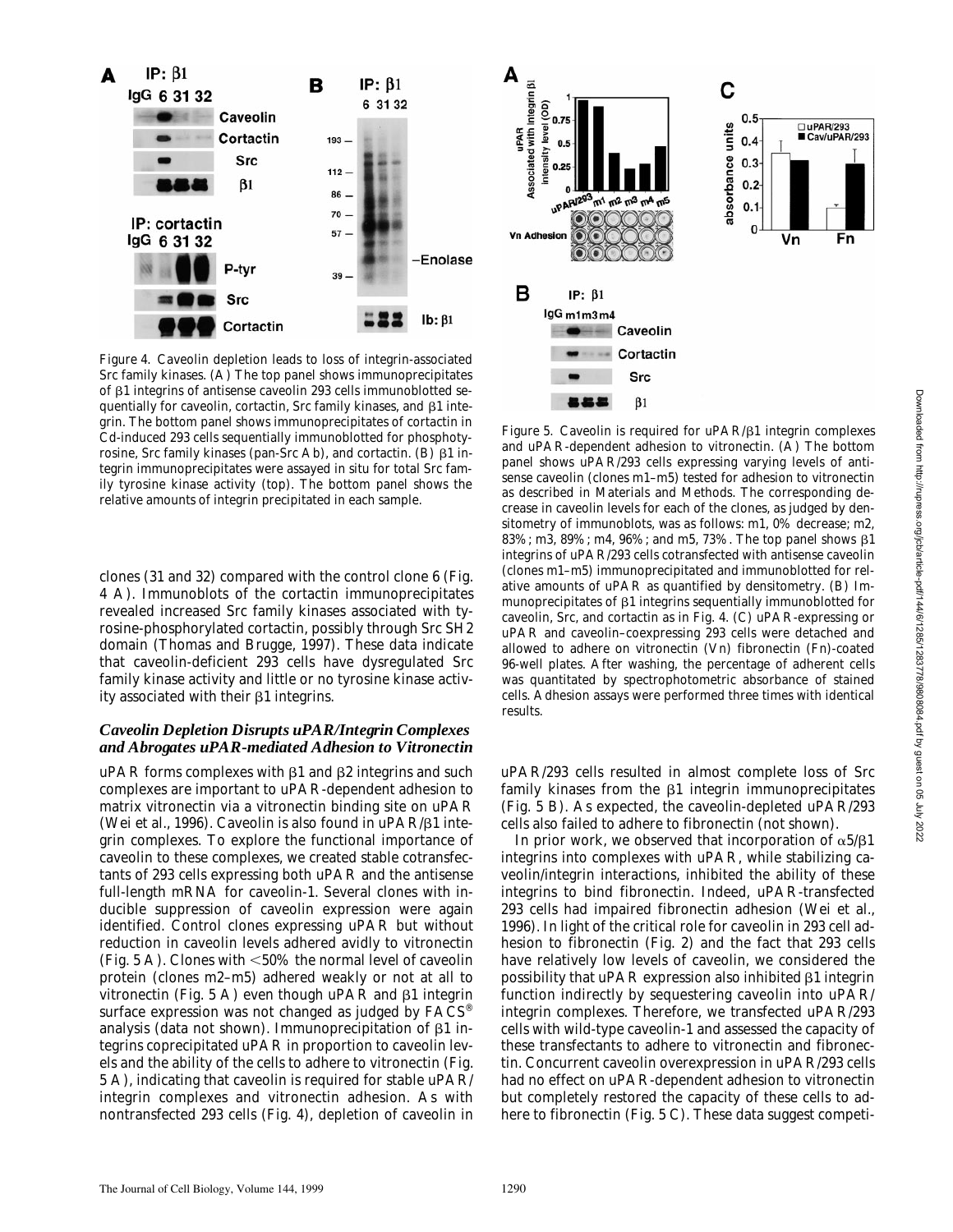

*Figure 4.* Caveolin depletion leads to loss of integrin-associated Src family kinases. (A) The top panel shows immunoprecipitates of b1 integrins of antisense caveolin 293 cells immunoblotted sequentially for caveolin, cortactin, Src family kinases, and  $\beta$ 1 integrin. The bottom panel shows immunoprecipitates of cortactin in Cd-induced 293 cells sequentially immunoblotted for phosphotyrosine, Src family kinases (pan-Src Ab), and cortactin. (B)  $\beta$ 1 integrin immunoprecipitates were assayed in situ for total Src family tyrosine kinase activity (top). The bottom panel shows the relative amounts of integrin precipitated in each sample.

clones (31 and 32) compared with the control clone 6 (Fig. 4 A). Immunoblots of the cortactin immunoprecipitates revealed increased Src family kinases associated with tyrosine-phosphorylated cortactin, possibly through Src SH2 domain (Thomas and Brugge, 1997). These data indicate that caveolin-deficient 293 cells have dysregulated Src family kinase activity and little or no tyrosine kinase activity associated with their  $\beta$ 1 integrins.

# *Caveolin Depletion Disrupts uPAR/Integrin Complexes and Abrogates uPAR-mediated Adhesion to Vitronectin*

uPAR forms complexes with  $\beta$ 1 and  $\beta$ 2 integrins and such complexes are important to uPAR-dependent adhesion to matrix vitronectin via a vitronectin binding site on uPAR (Wei et al., 1996). Caveolin is also found in  $u\text{PAR}/\beta1$  integrin complexes. To explore the functional importance of caveolin to these complexes, we created stable cotransfectants of 293 cells expressing both uPAR and the antisense full-length mRNA for caveolin-1. Several clones with inducible suppression of caveolin expression were again identified. Control clones expressing uPAR but without reduction in caveolin levels adhered avidly to vitronectin (Fig. 5 A). Clones with  $< 50\%$  the normal level of caveolin protein (clones m2–m5) adhered weakly or not at all to vitronectin (Fig. 5 A) even though uPAR and  $\beta$ 1 integrin surface expression was not changed as judged by  $FACS^{\circledast}$ analysis (data not shown). Immunoprecipitation of  $\beta$ 1 integrins coprecipitated uPAR in proportion to caveolin levels and the ability of the cells to adhere to vitronectin (Fig. 5 A), indicating that caveolin is required for stable uPAR/ integrin complexes and vitronectin adhesion. As with nontransfected 293 cells (Fig. 4), depletion of caveolin in



*Figure 5.* Caveolin is required for uPAR/ $\beta$ 1 integrin complexes and uPAR-dependent adhesion to vitronectin. (A) The bottom panel shows uPAR/293 cells expressing varying levels of antisense caveolin (clones m1–m5) tested for adhesion to vitronectin as described in Materials and Methods. The corresponding decrease in caveolin levels for each of the clones, as judged by densitometry of immunoblots, was as follows: m1, 0% decrease; m2, 83%; m3, 89%; m4, 96%; and m5, 73%. The top panel shows  $\beta$ 1 integrins of uPAR/293 cells cotransfected with antisense caveolin (clones m1–m5) immunoprecipitated and immunoblotted for relative amounts of uPAR as quantified by densitometry. (B) Immunoprecipitates of  $\beta$ 1 integrins sequentially immunoblotted for caveolin, Src, and cortactin as in Fig. 4. (C) uPAR-expressing or uPAR and caveolin–coexpressing 293 cells were detached and allowed to adhere on vitronectin (Vn) fibronectin (Fn)-coated 96-well plates. After washing, the percentage of adherent cells was quantitated by spectrophotometric absorbance of stained cells. Adhesion assays were performed three times with identical results.

uPAR/293 cells resulted in almost complete loss of Src family kinases from the  $\beta$ 1 integrin immunoprecipitates (Fig. 5 B). As expected, the caveolin-depleted uPAR/293 cells also failed to adhere to fibronectin (not shown).

In prior work, we observed that incorporation of  $\alpha 5/\beta 1$ integrins into complexes with uPAR, while stabilizing caveolin/integrin interactions, inhibited the ability of these integrins to bind fibronectin. Indeed, uPAR-transfected 293 cells had impaired fibronectin adhesion (Wei et al., 1996). In light of the critical role for caveolin in 293 cell adhesion to fibronectin (Fig. 2) and the fact that 293 cells have relatively low levels of caveolin, we considered the possibility that  $\mu$ PAR expression also inhibited  $\beta$ 1 integrin function indirectly by sequestering caveolin into uPAR/ integrin complexes. Therefore, we transfected uPAR/293 cells with wild-type caveolin-1 and assessed the capacity of these transfectants to adhere to vitronectin and fibronectin. Concurrent caveolin overexpression in uPAR/293 cells had no effect on uPAR-dependent adhesion to vitronectin but completely restored the capacity of these cells to adhere to fibronectin (Fig. 5 C). These data suggest competi-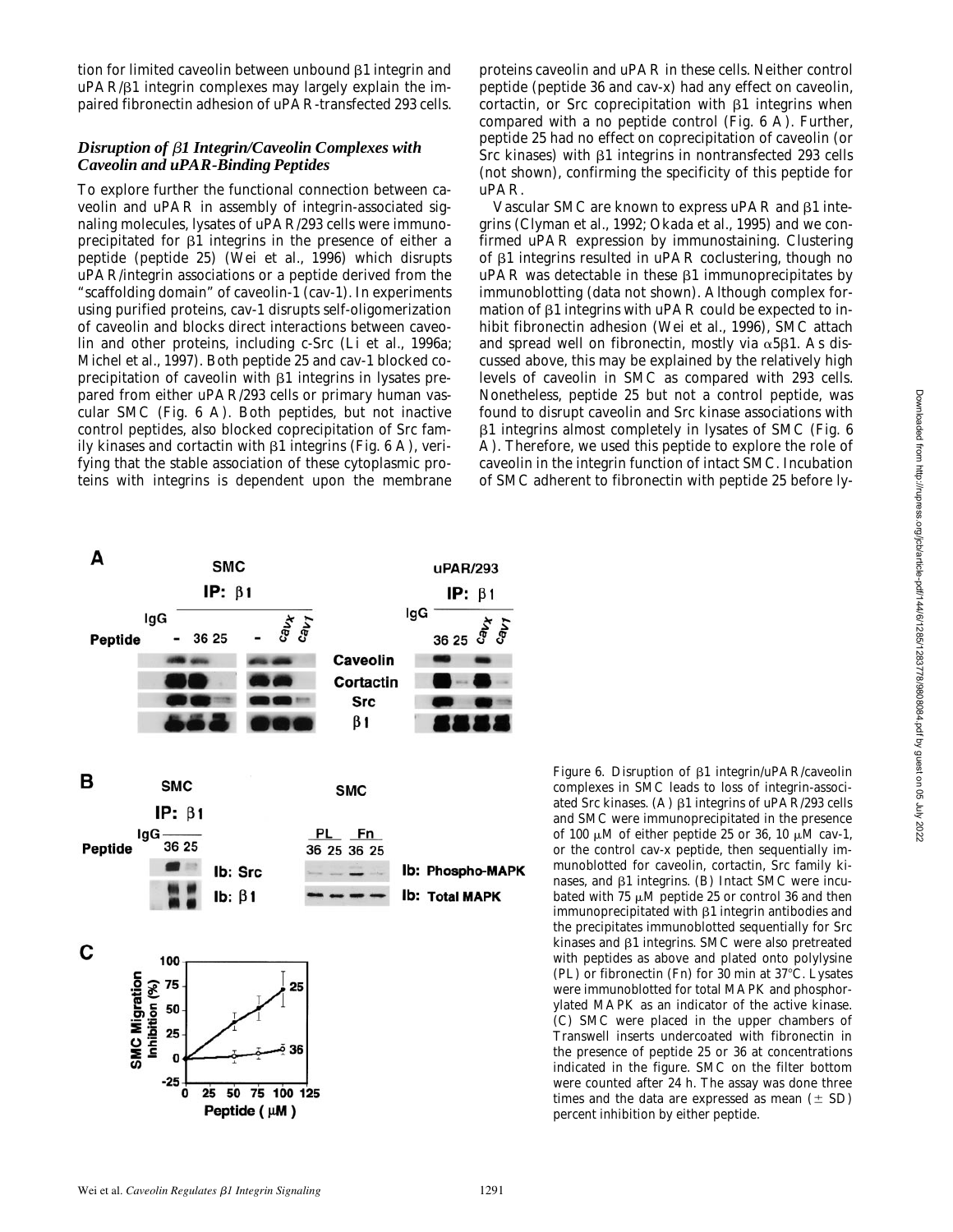tion for limited caveolin between unbound  $\beta$ 1 integrin and uPAR/b1 integrin complexes may largely explain the impaired fibronectin adhesion of uPAR-transfected 293 cells.

# *Disruption of* b*1 Integrin/Caveolin Complexes with Caveolin and uPAR-Binding Peptides*

To explore further the functional connection between caveolin and uPAR in assembly of integrin-associated signaling molecules, lysates of uPAR/293 cells were immunoprecipitated for  $\beta$ 1 integrins in the presence of either a peptide (peptide 25) (Wei et al., 1996) which disrupts uPAR/integrin associations or a peptide derived from the "scaffolding domain" of caveolin-1 (cav-1). In experiments using purified proteins, cav-1 disrupts self-oligomerization of caveolin and blocks direct interactions between caveolin and other proteins, including c-Src (Li et al., 1996a; Michel et al., 1997). Both peptide 25 and cav-1 blocked coprecipitation of caveolin with  $\beta1$  integrins in lysates prepared from either uPAR/293 cells or primary human vascular SMC (Fig. 6 A). Both peptides, but not inactive control peptides, also blocked coprecipitation of Src family kinases and cortactin with  $\beta$ 1 integrins (Fig. 6 A), verifying that the stable association of these cytoplasmic proteins with integrins is dependent upon the membrane

proteins caveolin and uPAR in these cells. Neither control peptide (peptide 36 and cav-x) had any effect on caveolin, cortactin, or Src coprecipitation with  $\beta$ 1 integrins when compared with a no peptide control (Fig. 6 A). Further, peptide 25 had no effect on coprecipitation of caveolin (or Src kinases) with  $\beta$ 1 integrins in nontransfected 293 cells (not shown), confirming the specificity of this peptide for uPAR.

Vascular SMC are known to express uPAR and  $\beta$ 1 integrins (Clyman et al., 1992; Okada et al., 1995) and we confirmed uPAR expression by immunostaining. Clustering of  $\beta$ 1 integrins resulted in uPAR coclustering, though no  $uPAR$  was detectable in these  $\beta1$  immunoprecipitates by immunoblotting (data not shown). Although complex formation of  $\beta$ 1 integrins with uPAR could be expected to inhibit fibronectin adhesion (Wei et al., 1996), SMC attach and spread well on fibronectin, mostly via  $\alpha$ 5 $\beta$ 1. As discussed above, this may be explained by the relatively high levels of caveolin in SMC as compared with 293 cells. Nonetheless, peptide 25 but not a control peptide, was found to disrupt caveolin and Src kinase associations with b1 integrins almost completely in lysates of SMC (Fig. 6 A). Therefore, we used this peptide to explore the role of caveolin in the integrin function of intact SMC. Incubation of SMC adherent to fibronectin with peptide 25 before ly-



*Figure 6.* Disruption of  $\beta$ 1 integrin/uPAR/caveolin complexes in SMC leads to loss of integrin-associated Src kinases. (A)  $\beta$ 1 integrins of uPAR/293 cells and SMC were immunoprecipitated in the presence of 100  $\mu$ M of either peptide 25 or 36, 10  $\mu$ M cav-1, or the control cav-x peptide, then sequentially immunoblotted for caveolin, cortactin, Src family kinases, and  $\beta$ 1 integrins. (B) Intact SMC were incubated with 75  $\mu$ M peptide 25 or control 36 and then immunoprecipitated with  $\beta1$  integrin antibodies and the precipitates immunoblotted sequentially for Src kinases and  $\beta$ 1 integrins. SMC were also pretreated with peptides as above and plated onto polylysine (PL) or fibronectin (Fn) for 30 min at  $37^{\circ}$ C. Lysates were immunoblotted for total MAPK and phosphorylated MAPK as an indicator of the active kinase. (C) SMC were placed in the upper chambers of Transwell inserts undercoated with fibronectin in the presence of peptide 25 or 36 at concentrations indicated in the figure. SMC on the filter bottom were counted after 24 h. The assay was done three times and the data are expressed as mean  $(\pm SD)$ percent inhibition by either peptide.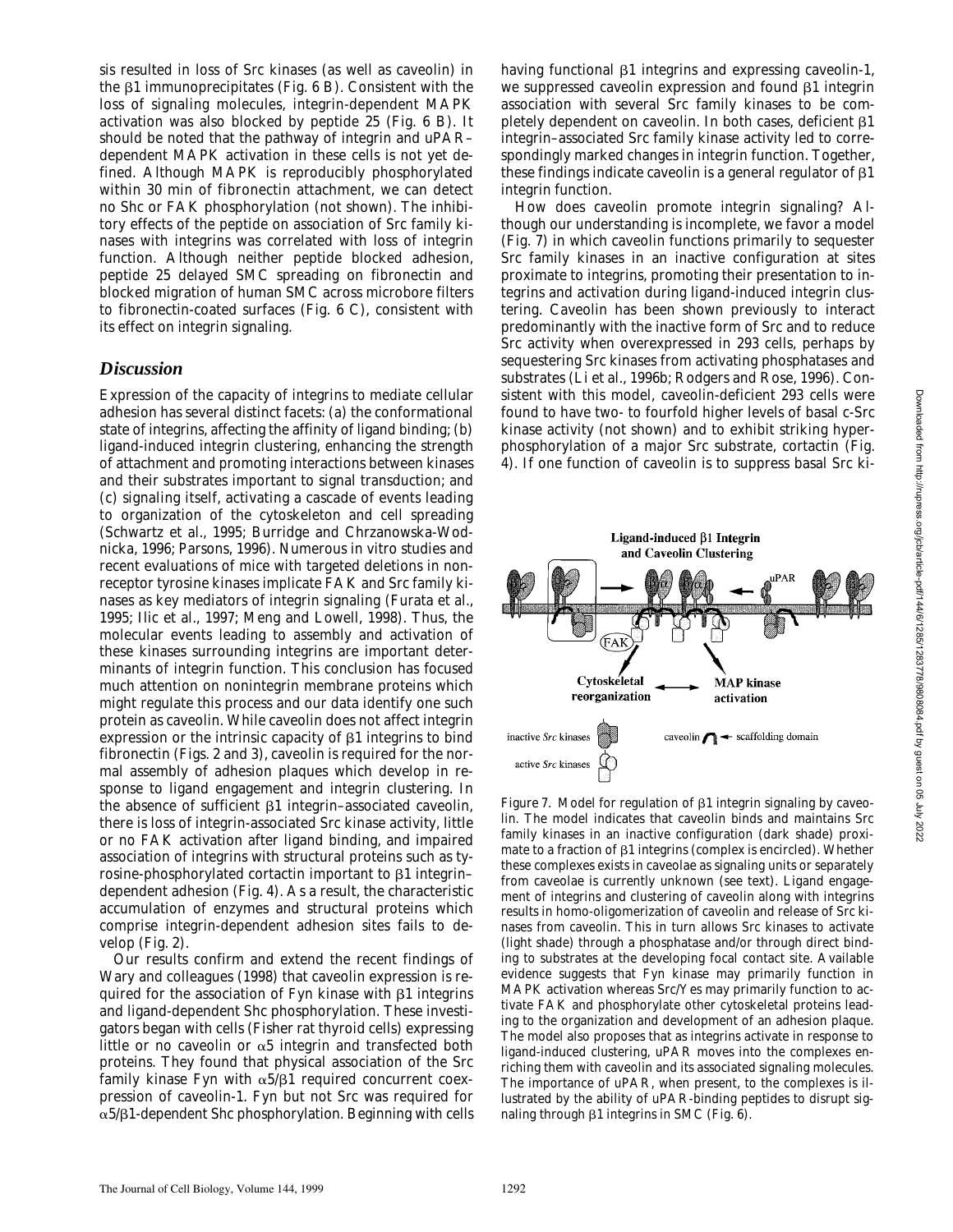sis resulted in loss of Src kinases (as well as caveolin) in the  $\beta$ 1 immunoprecipitates (Fig. 6 B). Consistent with the loss of signaling molecules, integrin-dependent MAPK activation was also blocked by peptide 25 (Fig. 6 B). It should be noted that the pathway of integrin and uPAR– dependent MAPK activation in these cells is not yet defined. Although MAPK is reproducibly phosphorylated within 30 min of fibronectin attachment, we can detect no Shc or FAK phosphorylation (not shown). The inhibitory effects of the peptide on association of Src family kinases with integrins was correlated with loss of integrin function. Although neither peptide blocked adhesion, peptide 25 delayed SMC spreading on fibronectin and blocked migration of human SMC across microbore filters to fibronectin-coated surfaces (Fig. 6 C), consistent with its effect on integrin signaling.

# *Discussion*

Expression of the capacity of integrins to mediate cellular adhesion has several distinct facets: (a) the conformational state of integrins, affecting the affinity of ligand binding; (b) ligand-induced integrin clustering, enhancing the strength of attachment and promoting interactions between kinases and their substrates important to signal transduction; and (c) signaling itself, activating a cascade of events leading to organization of the cytoskeleton and cell spreading (Schwartz et al., 1995; Burridge and Chrzanowska-Wodnicka, 1996; Parsons, 1996). Numerous in vitro studies and recent evaluations of mice with targeted deletions in nonreceptor tyrosine kinases implicate FAK and Src family kinases as key mediators of integrin signaling (Furata et al., 1995; Ilic et al., 1997; Meng and Lowell, 1998). Thus, the molecular events leading to assembly and activation of these kinases surrounding integrins are important determinants of integrin function. This conclusion has focused much attention on nonintegrin membrane proteins which might regulate this process and our data identify one such protein as caveolin. While caveolin does not affect integrin expression or the intrinsic capacity of  $\beta$ 1 integrins to bind fibronectin (Figs. 2 and 3), caveolin is required for the normal assembly of adhesion plaques which develop in response to ligand engagement and integrin clustering. In the absence of sufficient  $\beta1$  integrin–associated caveolin, there is loss of integrin-associated Src kinase activity, little or no FAK activation after ligand binding, and impaired association of integrins with structural proteins such as tyrosine-phosphorylated cortactin important to  $\beta$ 1 integrin– dependent adhesion (Fig. 4). As a result, the characteristic accumulation of enzymes and structural proteins which comprise integrin-dependent adhesion sites fails to develop (Fig. 2).

Our results confirm and extend the recent findings of Wary and colleagues (1998) that caveolin expression is required for the association of Fyn kinase with  $\beta$ 1 integrins and ligand-dependent Shc phosphorylation. These investigators began with cells (Fisher rat thyroid cells) expressing little or no caveolin or  $\alpha$ 5 integrin and transfected both proteins. They found that physical association of the Src family kinase Fyn with  $\alpha 5/\beta 1$  required concurrent coexpression of caveolin-1. Fyn but not Src was required for  $\alpha$ 5/ $\beta$ 1-dependent Shc phosphorylation. Beginning with cells having functional  $\beta1$  integrins and expressing caveolin-1, we suppressed caveolin expression and found  $\beta$ 1 integrin association with several Src family kinases to be completely dependent on caveolin. In both cases, deficient  $\beta$ 1 integrin–associated Src family kinase activity led to correspondingly marked changes in integrin function. Together, these findings indicate caveolin is a general regulator of  $\beta$ 1 integrin function.

How does caveolin promote integrin signaling? Although our understanding is incomplete, we favor a model (Fig. 7) in which caveolin functions primarily to sequester Src family kinases in an inactive configuration at sites proximate to integrins, promoting their presentation to integrins and activation during ligand-induced integrin clustering. Caveolin has been shown previously to interact predominantly with the inactive form of Src and to reduce Src activity when overexpressed in 293 cells, perhaps by sequestering Src kinases from activating phosphatases and substrates (Li et al., 1996b; Rodgers and Rose, 1996). Consistent with this model, caveolin-deficient 293 cells were found to have two- to fourfold higher levels of basal c-Src kinase activity (not shown) and to exhibit striking hyperphosphorylation of a major Src substrate, cortactin (Fig. 4). If one function of caveolin is to suppress basal Src ki-



Downloaded from http://rupress.org/jcb/article-pdf/144/6/1285/1283778/9808084.pdf by guest on 05 July 2022

*Figure 7.* Model for regulation of  $\beta$ 1 integrin signaling by caveolin. The model indicates that caveolin binds and maintains Src family kinases in an inactive configuration (dark shade) proximate to a fraction of  $\beta$ 1 integrins (complex is encircled). Whether these complexes exists in caveolae as signaling units or separately from caveolae is currently unknown (see text). Ligand engagement of integrins and clustering of caveolin along with integrins results in homo-oligomerization of caveolin and release of Src kinases from caveolin. This in turn allows Src kinases to activate (light shade) through a phosphatase and/or through direct binding to substrates at the developing focal contact site. Available evidence suggests that Fyn kinase may primarily function in MAPK activation whereas Src/Yes may primarily function to activate FAK and phosphorylate other cytoskeletal proteins leading to the organization and development of an adhesion plaque. The model also proposes that as integrins activate in response to ligand-induced clustering, uPAR moves into the complexes enriching them with caveolin and its associated signaling molecules. The importance of uPAR, when present, to the complexes is illustrated by the ability of uPAR-binding peptides to disrupt signaling through  $\beta1$  integrins in SMC (Fig. 6).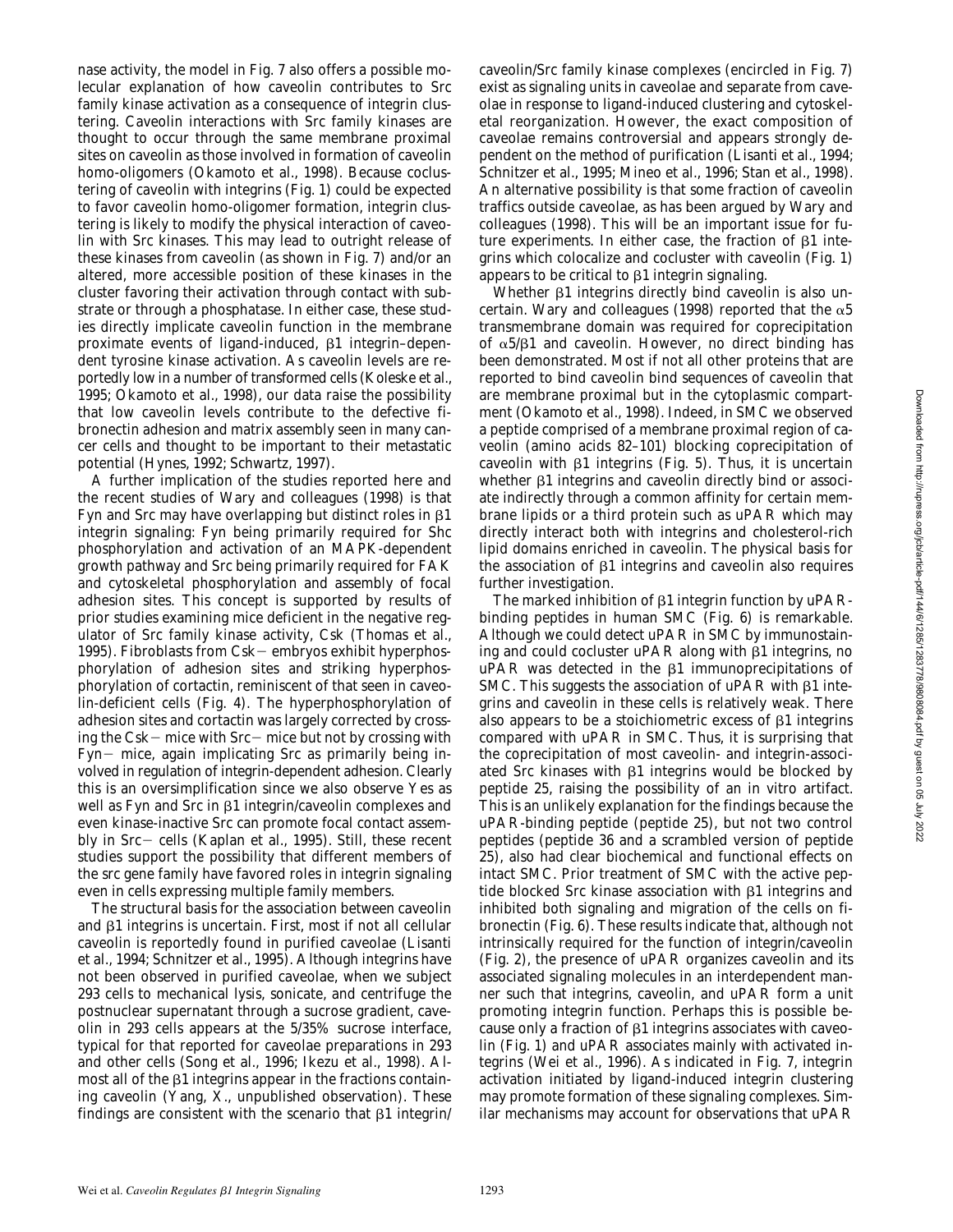nase activity, the model in Fig. 7 also offers a possible molecular explanation of how caveolin contributes to Src family kinase activation as a consequence of integrin clustering. Caveolin interactions with Src family kinases are thought to occur through the same membrane proximal sites on caveolin as those involved in formation of caveolin homo-oligomers (Okamoto et al., 1998). Because coclustering of caveolin with integrins (Fig. 1) could be expected to favor caveolin homo-oligomer formation, integrin clustering is likely to modify the physical interaction of caveolin with Src kinases. This may lead to outright release of these kinases from caveolin (as shown in Fig. 7) and/or an altered, more accessible position of these kinases in the cluster favoring their activation through contact with substrate or through a phosphatase. In either case, these studies directly implicate caveolin function in the membrane proximate events of ligand-induced,  $\beta$ 1 integrin–dependent tyrosine kinase activation. As caveolin levels are reportedly low in a number of transformed cells (Koleske et al., 1995; Okamoto et al., 1998), our data raise the possibility that low caveolin levels contribute to the defective fibronectin adhesion and matrix assembly seen in many cancer cells and thought to be important to their metastatic potential (Hynes, 1992; Schwartz, 1997).

A further implication of the studies reported here and the recent studies of Wary and colleagues (1998) is that Fyn and Src may have overlapping but distinct roles in  $\beta$ 1 integrin signaling: Fyn being primarily required for Shc phosphorylation and activation of an MAPK-dependent growth pathway and Src being primarily required for FAK and cytoskeletal phosphorylation and assembly of focal adhesion sites. This concept is supported by results of prior studies examining mice deficient in the negative regulator of Src family kinase activity, Csk (Thomas et al., 1995). Fibroblasts from Csk $-$  embryos exhibit hyperphosphorylation of adhesion sites and striking hyperphosphorylation of cortactin, reminiscent of that seen in caveolin-deficient cells (Fig. 4). The hyperphosphorylation of adhesion sites and cortactin was largely corrected by crossing the Csk $-$  mice with Src $-$  mice but not by crossing with Fyn- mice, again implicating Src as primarily being involved in regulation of integrin-dependent adhesion. Clearly this is an oversimplification since we also observe Yes as well as Fyn and Src in  $\beta$ 1 integrin/caveolin complexes and even kinase-inactive Src can promote focal contact assembly in Src- cells (Kaplan et al., 1995). Still, these recent studies support the possibility that different members of the *src* gene family have favored roles in integrin signaling even in cells expressing multiple family members.

The structural basis for the association between caveolin and  $\beta$ 1 integrins is uncertain. First, most if not all cellular caveolin is reportedly found in purified caveolae (Lisanti et al., 1994; Schnitzer et al., 1995). Although integrins have not been observed in purified caveolae, when we subject 293 cells to mechanical lysis, sonicate, and centrifuge the postnuclear supernatant through a sucrose gradient, caveolin in 293 cells appears at the 5/35% sucrose interface, typical for that reported for caveolae preparations in 293 and other cells (Song et al., 1996; Ikezu et al., 1998). Almost all of the  $\beta$ 1 integrins appear in the fractions containing caveolin (Yang, X., unpublished observation). These findings are consistent with the scenario that  $\beta$ 1 integrin/

caveolin/Src family kinase complexes (encircled in Fig. 7) exist as signaling units in caveolae and separate from caveolae in response to ligand-induced clustering and cytoskeletal reorganization. However, the exact composition of caveolae remains controversial and appears strongly dependent on the method of purification (Lisanti et al., 1994; Schnitzer et al., 1995; Mineo et al., 1996; Stan et al., 1998). An alternative possibility is that some fraction of caveolin traffics outside caveolae, as has been argued by Wary and colleagues (1998). This will be an important issue for future experiments. In either case, the fraction of  $\beta$ 1 integrins which colocalize and cocluster with caveolin (Fig. 1) appears to be critical to  $\beta$ 1 integrin signaling.

Whether  $\beta$ 1 integrins directly bind caveolin is also uncertain. Wary and colleagues (1998) reported that the  $\alpha 5$ transmembrane domain was required for coprecipitation of  $\alpha$ 5/ $\beta$ 1 and caveolin. However, no direct binding has been demonstrated. Most if not all other proteins that are reported to bind caveolin bind sequences of caveolin that are membrane proximal but in the cytoplasmic compartment (Okamoto et al., 1998). Indeed, in SMC we observed a peptide comprised of a membrane proximal region of caveolin (amino acids 82–101) blocking coprecipitation of caveolin with  $\beta$ 1 integrins (Fig. 5). Thus, it is uncertain whether  $\beta$ 1 integrins and caveolin directly bind or associate indirectly through a common affinity for certain membrane lipids or a third protein such as uPAR which may directly interact both with integrins and cholesterol-rich lipid domains enriched in caveolin. The physical basis for the association of  $\beta$ 1 integrins and caveolin also requires further investigation.

The marked inhibition of  $\beta$ 1 integrin function by uPARbinding peptides in human SMC (Fig. 6) is remarkable. Although we could detect uPAR in SMC by immunostaining and could cocluster uPAR along with  $\beta$ 1 integrins, no  $uPAR$  was detected in the  $\beta1$  immunoprecipitations of SMC. This suggests the association of  $\mu$ PAR with  $\beta$ 1 integrins and caveolin in these cells is relatively weak. There also appears to be a stoichiometric excess of  $\beta$ 1 integrins compared with uPAR in SMC. Thus, it is surprising that the coprecipitation of most caveolin- and integrin-associated Src kinases with  $\beta$ 1 integrins would be blocked by peptide 25, raising the possibility of an in vitro artifact. This is an unlikely explanation for the findings because the uPAR-binding peptide (peptide 25), but not two control peptides (peptide 36 and a scrambled version of peptide 25), also had clear biochemical and functional effects on intact SMC. Prior treatment of SMC with the active peptide blocked Src kinase association with  $\beta$ 1 integrins and inhibited both signaling and migration of the cells on fibronectin (Fig. 6). These results indicate that, although not intrinsically required for the function of integrin/caveolin (Fig. 2), the presence of uPAR organizes caveolin and its associated signaling molecules in an interdependent manner such that integrins, caveolin, and uPAR form a unit promoting integrin function. Perhaps this is possible because only a fraction of  $\beta$ 1 integrins associates with caveolin (Fig. 1) and uPAR associates mainly with activated integrins (Wei et al., 1996). As indicated in Fig. 7, integrin activation initiated by ligand-induced integrin clustering may promote formation of these signaling complexes. Similar mechanisms may account for observations that uPAR